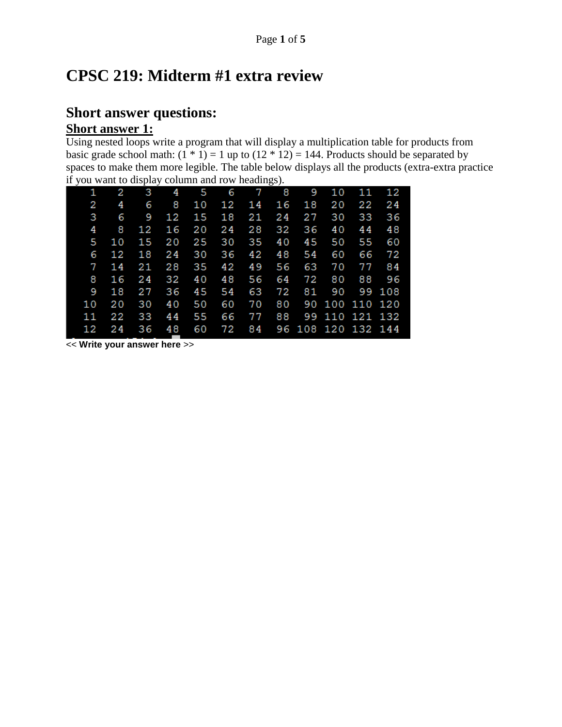# **CPSC 219: Midterm #1 extra review**

## **Short answer questions: Short answer 1:**

Using nested loops write a program that will display a multiplication table for products from basic grade school math:  $(1 * 1) = 1$  up to  $(12 * 12) = 144$ . Products should be separated by spaces to make them more legible. The table below displays all the products (extra-extra practice if you want to display column and row headings).

|    | $\mathbf{r}$ ) or which to enspire obtaining the now necessary. |    |    |     |    |                |           |    |    |                    |        |
|----|-----------------------------------------------------------------|----|----|-----|----|----------------|-----------|----|----|--------------------|--------|
| 1. | 2                                                               | 3  | 4  | - 5 | 6  | $\overline{7}$ | $\bullet$ | 9  | 10 | 11                 | 12     |
| 2  | 4                                                               | 6  | 8  | 10  | 12 | 14             | 16        | 18 | 20 | 22                 | 24     |
| 3  | 6                                                               | 9  | 12 | 15  | 18 | 21             | 24        | 27 | 30 | 33                 | 36     |
| 4  | 8                                                               | 12 | 16 | 20  | 24 | 28             | 32        | 36 | 40 | 44                 | 48     |
| 5  | 10                                                              | 15 | 20 | 25  | 30 | 35             | 40        | 45 | 50 | 55                 | 60     |
| 6  | 12                                                              | 18 | 24 | 30  | 36 | 42             | 48        | 54 | 60 | 66                 | 72     |
| 7  | 14                                                              | 21 | 28 | 35  | 42 | 49             | 56        | 63 | 70 | 77                 | 84     |
| 8  | 16                                                              | 24 | 32 | 40  | 48 | 56             | 64        | 72 | 80 | 88                 | 96     |
| 9  | 18                                                              | 27 | 36 | 45  | 54 | 63             | 72        | 81 | 90 |                    | 99 108 |
| 10 | 20                                                              | 30 | 40 | 50  | 60 | 70             | 80        |    |    | 90 100 110 120     |        |
| 11 | 22                                                              | 33 | 44 | 55  | 66 | 77             | 88        |    |    | 99 110 121 132     |        |
| 12 | 24                                                              | 36 | 48 | 60  | 72 | 84             |           |    |    | 96 108 120 132 144 |        |
|    |                                                                 |    |    |     |    |                |           |    |    |                    |        |

<< **Write your answer here** >>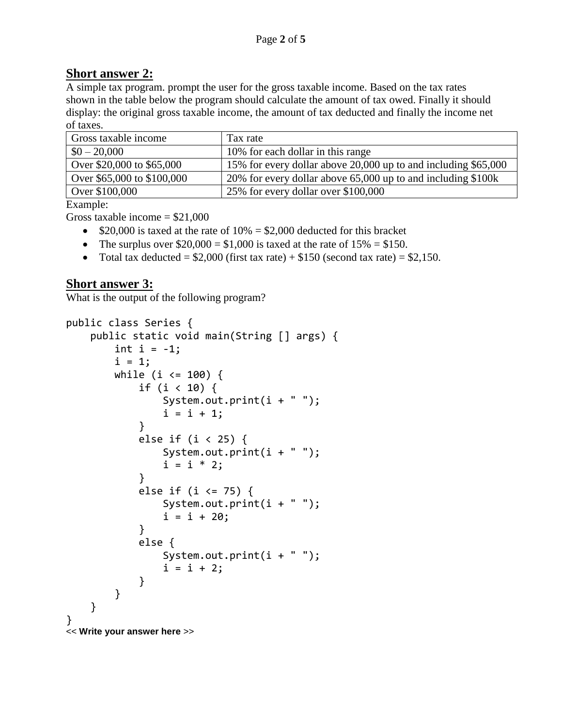### **Short answer 2:**

A simple tax program. prompt the user for the gross taxable income. Based on the tax rates shown in the table below the program should calculate the amount of tax owed. Finally it should display: the original gross taxable income, the amount of tax deducted and finally the income net of taxes.

| Gross taxable income       | Tax rate                                                       |
|----------------------------|----------------------------------------------------------------|
| $$0 - 20,000$              | 10% for each dollar in this range                              |
| Over \$20,000 to \$65,000  | 15% for every dollar above 20,000 up to and including \$65,000 |
| Over \$65,000 to \$100,000 | 20% for every dollar above 65,000 up to and including \$100k   |
| Over \$100,000             | 25% for every dollar over \$100,000                            |

Example:

Gross taxable income  $= $21,000$ 

- $\bullet$  \$20,000 is taxed at the rate of 10% = \$2,000 deducted for this bracket
- The surplus over  $$20,000 = $1,000$  is taxed at the rate of  $15\% = $150$ .
- Total tax deducted =  $$2,000$  (first tax rate) +  $$150$  (second tax rate) =  $$2,150$ .

#### **Short answer 3:**

What is the output of the following program?

```
public class Series {
    public static void main(String [] args) {
       int i = -1;
       i = 1; while (i <= 100) {
            if (i < 10) {
               System.out.print(i + " ");i = i + 1; }
            else if (i < 25) {
               System.out.print(i + " ");i = i * 2; }
            else if (i <= 75) {
                System.out.print(i + " ");
               i = i + 20; }
            else {
               System.out.print(i + " ");i = i + 2; }
        }
    }
}
<< Write your answer here >>
```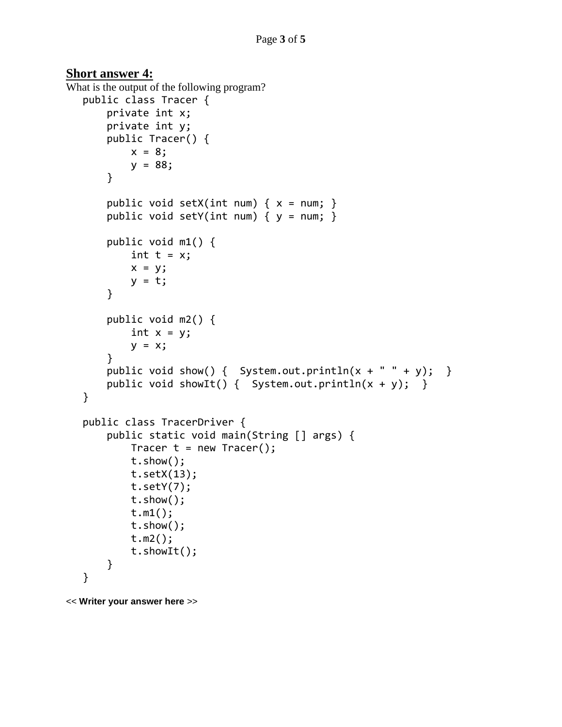#### **Short answer 4:**

```
What is the output of the following program?
  public class Tracer {
        private int x;
        private int y;
        public Tracer() {
           x = 8;y = 88; }
       public void setX(int num) { x = num; }
       public void setY(int num) { y = num; }
        public void m1() {
           int t = x;
           x = y;y = t; }
        public void m2() {
           int x = y;
           y = x; }
       public void show() { System.out.println(x + " " + y); }
       public void showIt() { System.out.println(x + y); }
   }
  public class TracerDriver {
        public static void main(String [] args) {
           Tracer t = new Tracer();
            t.show();
            t.setX(13);
            t.setY(7);
            t.show();
            t.m1();
            t.show();
            t.m2();
            t.showIt();
        }
   }
```
<< **Writer your answer here** >>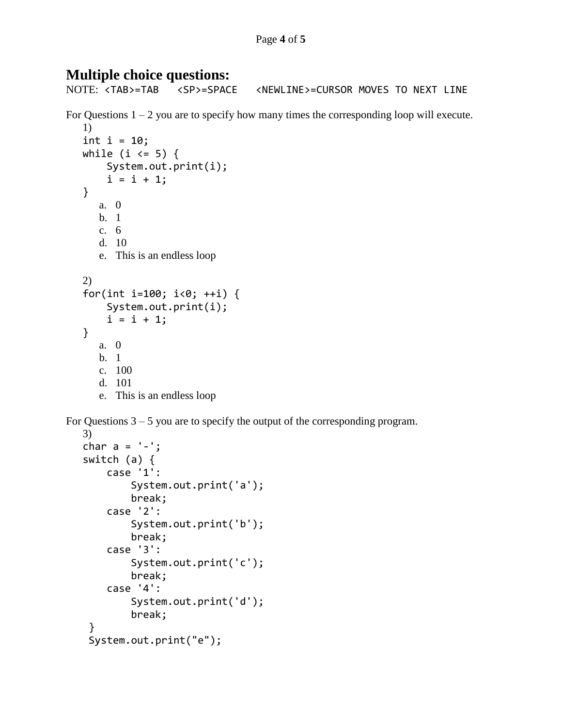## **Multiple choice questions:**

NOTE: <TAB>=TAB <SP>=SPACE <NEWLINE>=CURSOR MOVES TO NEXT LINE For Questions  $1 - 2$  you are to specify how many times the corresponding loop will execute. 1) int  $i = 10$ ; while (i  $\leq$  5) { System.out.print(i);  $i = i + 1;$ } a. 0 b. 1 c. 6 d. 10 e. This is an endless loop 2) for(int i=100; i<0; ++i) { System.out.print(i);  $i = i + 1;$ } a. 0 b. 1 c. 100 d. 101 e. This is an endless loop

For Questions  $3 - 5$  you are to specify the output of the corresponding program.

```
3)
char a = '-';
switch (a) {
     case '1':
         System.out.print('a');
         break;
     case '2':
         System.out.print('b');
         break;
     case '3':
         System.out.print('c');
         break;
     case '4':
         System.out.print('d');
         break;
 }
 System.out.print("e");
```